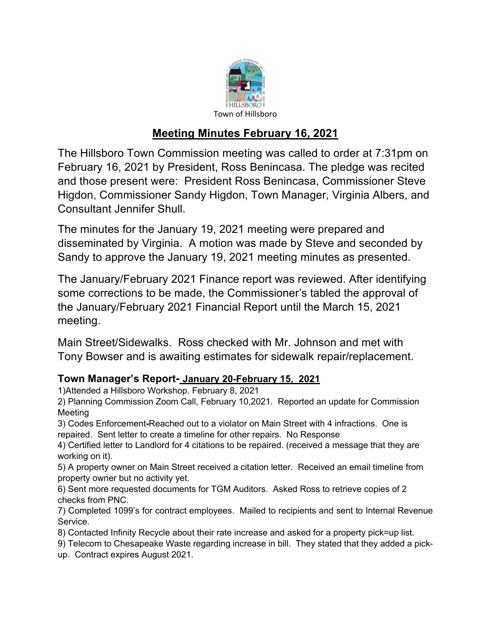

## **Meeting Minutes February 16, 2021**

The Hillsboro Town Commission meeting was called to order at 7:31pm on February 16, 2021 by President, Ross Benincasa. The pledge was recited and those present were: President Ross Benincasa, Commissioner Steve Higdon, Commissioner Sandy Higdon, Town Manager, Virginia Albers, and Consultant Jennifer Shull.

The minutes for the January 19, 2021 meeting were prepared and disseminated by Virginia. A motion was made by Steve and seconded by Sandy to approve the January 19, 2021 meeting minutes as presented.

The January/February 2021 Finance report was reviewed. After identifying some corrections to be made, the Commissioner's tabled the approval of the January/February 2021 Financial Report until the March 15, 2021 meeting.

Main Street/Sidewalks. Ross checked with Mr. Johnson and met with Tony Bowser and is awaiting estimates for sidewalk repair/replacement.

## **Town Manager's Report- January 20-February 15, 2021**

1)Attended a Hillsboro Workshop. February 8, 2021

2) Planning Commission Zoom Call, February 10,2021. Reported an update for Commission Meeting

3) Codes Enforcement**-**Reached out to a violator on Main Street with 4 infractions. One is repaired. Sent letter to create a timeline for other repairs. No Response

4) Certified letter to Landlord for 4 citations to be repaired. (received a message that they are working on it).

5) A property owner on Main Street received a citation letter. Received an email timeline from property owner but no activity yet.

6) Sent more requested documents for TGM Auditors. Asked Ross to retrieve copies of 2 checks from PNC.

7) Completed 1099's for contract employees. Mailed to recipients and sent to Internal Revenue Service.

8) Contacted Infinity Recycle about their rate increase and asked for a property pick=up list.

9) Telecom to Chesapeake Waste regarding increase in bill. They stated that they added a pick-

up. Contract expires August 2021.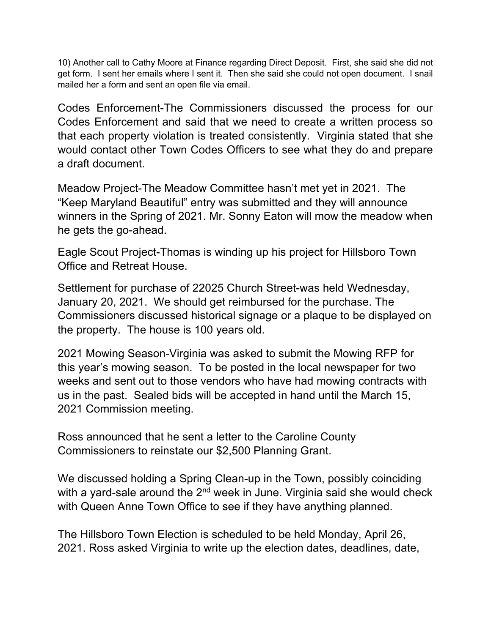10) Another call to Cathy Moore at Finance regarding Direct Deposit. First, she said she did not get form. I sent her emails where I sent it. Then she said she could not open document. I snail mailed her a form and sent an open file via email.

Codes Enforcement-The Commissioners discussed the process for our Codes Enforcement and said that we need to create a written process so that each property violation is treated consistently. Virginia stated that she would contact other Town Codes Officers to see what they do and prepare a draft document.

Meadow Project-The Meadow Committee hasn't met yet in 2021. The "Keep Maryland Beautiful" entry was submitted and they will announce winners in the Spring of 2021. Mr. Sonny Eaton will mow the meadow when he gets the go-ahead.

Eagle Scout Project-Thomas is winding up his project for Hillsboro Town Office and Retreat House.

Settlement for purchase of 22025 Church Street-was held Wednesday, January 20, 2021. We should get reimbursed for the purchase. The Commissioners discussed historical signage or a plaque to be displayed on the property. The house is 100 years old.

2021 Mowing Season-Virginia was asked to submit the Mowing RFP for this year's mowing season. To be posted in the local newspaper for two weeks and sent out to those vendors who have had mowing contracts with us in the past. Sealed bids will be accepted in hand until the March 15, 2021 Commission meeting.

Ross announced that he sent a letter to the Caroline County Commissioners to reinstate our \$2,500 Planning Grant.

We discussed holding a Spring Clean-up in the Town, possibly coinciding with a yard-sale around the  $2<sup>nd</sup>$  week in June. Virginia said she would check with Queen Anne Town Office to see if they have anything planned.

The Hillsboro Town Election is scheduled to be held Monday, April 26, 2021. Ross asked Virginia to write up the election dates, deadlines, date,